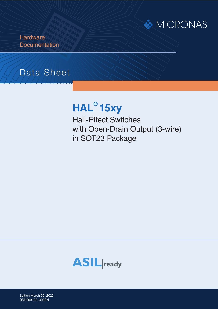

**Hardware Documentation** 

# Data Sheet

# **HAL® 15xy**

Hall-Effect Switches with Open-Drain Output (3-wire) in SOT23 Package



Edition March 30, 2022 DSH000172\_001EN DSH000179\_001E DSH000193\_003EN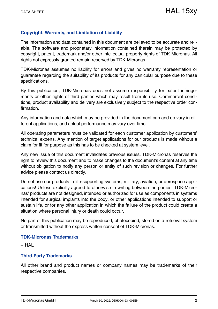#### **Copyright, Warranty, and Limitation of Liability**

The information and data contained in this document are believed to be accurate and reliable. The software and proprietary information contained therein may be protected by copyright, patent, trademark and/or other intellectual property rights of TDK-Micronas. All rights not expressly granted remain reserved by TDK-Micronas.

TDK-Micronas assumes no liability for errors and gives no warranty representation or guarantee regarding the suitability of its products for any particular purpose due to these specifications.

By this publication, TDK-Micronas does not assume responsibility for patent infringements or other rights of third parties which may result from its use. Commercial conditions, product availability and delivery are exclusively subject to the respective order confirmation.

Any information and data which may be provided in the document can and do vary in different applications, and actual performance may vary over time.

All operating parameters must be validated for each customer application by customers' technical experts. Any mention of target applications for our products is made without a claim for fit for purpose as this has to be checked at system level.

Any new issue of this document invalidates previous issues. TDK-Micronas reserves the right to review this document and to make changes to the document's content at any time without obligation to notify any person or entity of such revision or changes. For further advice please contact us directly.

Do not use our products in life-supporting systems, military, aviation, or aerospace applications! Unless explicitly agreed to otherwise in writing between the parties, TDK-Micronas' products are not designed, intended or authorized for use as components in systems intended for surgical implants into the body, or other applications intended to support or sustain life, or for any other application in which the failure of the product could create a situation where personal injury or death could occur.

No part of this publication may be reproduced, photocopied, stored on a retrieval system or transmitted without the express written consent of TDK-Micronas.

#### **TDK-Micronas Trademarks**

– HAL

#### **Third-Party Trademarks**

All other brand and product names or company names may be trademarks of their respective companies.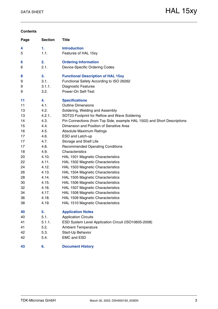#### **Contents**

| Page | <b>Section</b> | <b>Title</b>                                                             |
|------|----------------|--------------------------------------------------------------------------|
| 4    | 1.             | <b>Introduction</b>                                                      |
| 5    | 1.1.           | Features of HAL 15xy                                                     |
| 6    | 2.             | <b>Ordering Information</b>                                              |
| 6    | 2.1.           | Device-Specific Ordering Codes                                           |
| 8    | 3.             | <b>Functional Description of HAL 15xy</b>                                |
| 9    | 3.1.           | Functional Safety According to ISO 26262                                 |
| 9    | 3.1.1.         | <b>Diagnostic Features</b>                                               |
| 9    | 3.2.           | Power-On Self-Test                                                       |
| 11   | 4.             | <b>Specifications</b>                                                    |
| 11   | 4.1.           | <b>Outline Dimensions</b>                                                |
| 13   | 4.2.           | Soldering, Welding and Assembly                                          |
| 13   | 4.2.1.         | SOT23 Footprint for Reflow and Wave Soldering                            |
| 14   | 4.3.           | Pin Connections (from Top Side, example HAL 1502) and Short Descriptions |
| 15   | 4.4.           | Dimension and Position of Sensitive Area                                 |
| 16   | 4.5.           | <b>Absolute Maximum Ratings</b>                                          |
| 17   | 4.6.           | ESD and Latch-up                                                         |
| 17   | 4.7.           | Storage and Shelf Life                                                   |
| 17   | 4.8.           | <b>Recommended Operating Conditions</b>                                  |
| 18   | 4.9.           | Characteristics                                                          |
| 20   | 4.10.          | HAL 1501 Magnetic Characteristics                                        |
| 22   | 4.11.          | HAL 1502 Magnetic Characteristics                                        |
| 24   | 4.12.          | HAL 1503 Magnetic Characteristics                                        |
| 26   | 4.13.          | HAL 1504 Magnetic Characteristics                                        |
| 28   | 4.14.          | HAL 1505 Magnetic Characteristics                                        |
| 30   | 4.15.          | HAL 1506 Magnetic Characteristics                                        |
| 32   | 4.16.          | HAL 1507 Magnetic Characteristics                                        |
| 34   | 4.17.          | HAL 1508 Magnetic Characteristics                                        |
| 36   | 4.18.          | HAL 1509 Magnetic Characteristics                                        |
| 38   | 4.19.          | HAL 1510 Magnetic Characteristics                                        |
| 40   | 5.             | <b>Application Notes</b>                                                 |
| 40   | 5.1.           | <b>Application Circuits</b>                                              |
| 41   | 5.1.1.         | ESD System Level Application Circuit (ISO10605-2008)                     |
| 41   | 5.2.           | <b>Ambient Temperature</b>                                               |
| 42   | 5.3.           | Start-Up Behavior                                                        |
| 42   | 5.4.           | <b>EMC and ESD</b>                                                       |
| 43   | 6.             | <b>Document History</b>                                                  |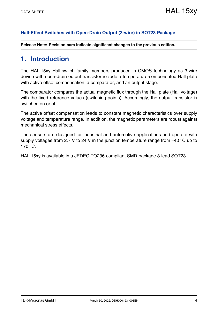#### **[Hall-Effect Switches with Open-Drain Output \(3-wire\) in SOT23 Package](#page--1-0)**

**Release Note: Revision bars indicate significant changes to the previous edition.**

### <span id="page-3-0"></span>**1. Introduction**

The HAL 15xy Hall-switch family members produced in CMOS technology as 3-wire device with open-drain output transistor include a temperature-compensated Hall plate with active offset compensation, a comparator, and an output stage.

The comparator compares the actual magnetic flux through the Hall plate (Hall voltage) with the fixed reference values (switching points). Accordingly, the output transistor is switched on or off.

The active offset compensation leads to constant magnetic characteristics over supply voltage and temperature range. In addition, the magnetic parameters are robust against mechanical stress effects.

The sensors are designed for industrial and automotive applications and operate with supply voltages from 2.7 V to 24 V in the junction temperature range from  $-40$  °C up to  $170 °C$ .

HAL 15xy is available in a JEDEC TO236-compliant SMD-package 3-lead SOT23.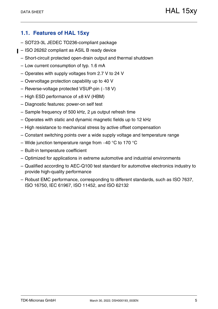### <span id="page-4-0"></span>**1.1. Features of HAL 15xy**

- SOT23-3L JEDEC TO236-compliant package
- $\blacksquare$  ISO 26262 compliant as ASIL B ready device
	- Short-circuit protected open-drain output and thermal shutdown
	- Low current consumption of typ. 1.6 mA
	- Operates with supply voltages from 2.7 V to 24 V
	- Overvoltage protection capability up to 40 V
	- $-$  Reverse-voltage protected VSUP-pin  $(-18 V)$
	- $-$  High ESD performance of  $\pm 8$  kV (HBM)
	- Diagnostic features: power-on self test
	- Sample frequency of 500 kHz, 2 µs output refresh time
	- Operates with static and dynamic magnetic fields up to 12 kHz
	- High resistance to mechanical stress by active offset compensation
	- Constant switching points over a wide supply voltage and temperature range
	- Wide junction temperature range from  $-40$  °C to 170 °C
	- Built-in temperature coefficient
	- Optimized for applications in extreme automotive and industrial environments
	- Qualified according to AEC-Q100 test standard for automotive electronics industry to provide high-quality performance
	- Robust EMC performance, corresponding to different standards, such as ISO 7637, ISO 16750, IEC 61967, ISO 11452, and ISO 62132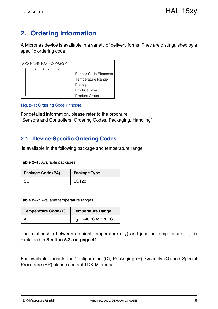# <span id="page-5-0"></span>**2. Ordering Information**

A Micronas device is available in a variety of delivery forms. They are distinguished by a specific ordering code:



#### **Fig. 2–1:** Ordering Code Principle

For detailed information, please refer to the brochure: "Sensors and Controllers: Ordering Codes, Packaging, Handling"

### <span id="page-5-1"></span>**2.1. Device-Specific Ordering Codes**

is available in the following package and temperature range.

**Table 2–1:** Available packages

| Package Code (PA) | <b>Package Type</b> |
|-------------------|---------------------|
| SU                | SOT <sub>23</sub>   |

**Table 2–2:** Available temperature ranges

| <b>Temperature Code (T)</b> | Temperature Range                    |
|-----------------------------|--------------------------------------|
|                             | $\vert T_{\rm J} = -40$ °C to 170 °C |

The relationship between ambient temperature  $(T_A)$  and junction temperature  $(T_J)$  is explained in **[Section 5.2. on page 41](#page-40-2)**.

For available variants for Configuration (C), Packaging (P), Quantity (Q) and Special Procedure (SP) please contact TDK-Micronas.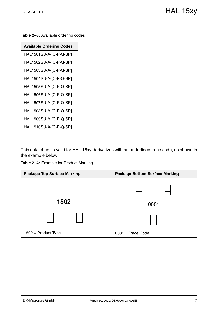**Table 2–3:** Available ordering codes

| <b>Available Ordering Codes</b> |
|---------------------------------|
| HAL1501SU-A-[C-P-Q-SP]          |
| HAL1502SU-A-[C-P-Q-SP]          |
| HAL1503SU-A-[C-P-Q-SP]          |
| HAL1504SU-A-[C-P-Q-SP]          |
| HAL1505SU-A-[C-P-Q-SP]          |
| HAL1506SU-A-[C-P-Q-SP]          |
| HAL1507SU-A-[C-P-Q-SP]          |
| HAL1508SU-A-[C-P-Q-SP]          |
| HAL1509SU-A-[C-P-Q-SP]          |
| HAL1510SU-A-[C-P-Q-SP]          |

This data sheet is valid for HAL 15xy derivatives with an underlined trace code, as shown in the example below.



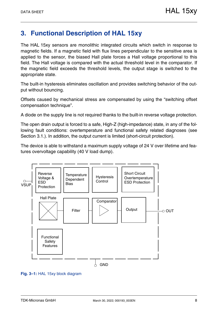# <span id="page-7-0"></span>**3. Functional Description of HAL 15xy**

The HAL 15xy sensors are monolithic integrated circuits which switch in response to magnetic fields. If a magnetic field with flux lines perpendicular to the sensitive area is applied to the sensor, the biased Hall plate forces a Hall voltage proportional to this field. The Hall voltage is compared with the actual threshold level in the comparator. If the magnetic field exceeds the threshold levels, the output stage is switched to the appropriate state.

The built-in hysteresis eliminates oscillation and provides switching behavior of the output without bouncing.

Offsets caused by mechanical stress are compensated by using the "switching offset compensation technique".

A diode on the supply line is not required thanks to the built-in reverse voltage protection.

The open drain output is forced to a safe, High-Z (high-impedance) state, in any of the following fault conditions: overtemperature and functional safety related diagnoses [\(see](#page-8-0) [Section 3.1.\)](#page-8-0). In addition, the output current is limited (short-circuit protection).

The device is able to withstand a maximum supply voltage of 24 V over lifetime and features overvoltage capability (40 V load dump).



**Fig. 3–1:** HAL 15xy block diagram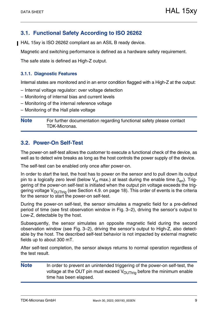### <span id="page-8-0"></span>**3.1. Functional Safety According to ISO 26262**

HAL 15xy is ISO 26262 compliant as an ASIL B ready device.

Magnetic and switching performance is defined as a hardware safety requirement.

The safe state is defined as High-Z output.

#### <span id="page-8-1"></span>**3.1.1. Diagnostic Features**

Internal states are monitored and in an error condition flagged with a High-Z at the output:

- Internal voltage regulator: over voltage detection
- Monitoring of internal bias and current levels
- Monitoring of the internal reference voltage
- Monitoring of the Hall plate voltage

**Note** For further documentation regarding functional safety please contact TDK-Micronas.

### <span id="page-8-3"></span><span id="page-8-2"></span>**3.2. Power-On Self-Test**

The power-on self-test allows the customer to execute a functional check of the device, as well as to detect wire breaks as long as the host controls the power supply of the device.

The self-test can be enabled only once after power-on.

In order to start the test, the host has to power on the sensor and to pull down its output pin to a logically zero level (below  $V_{ol}$  max.) at least during the enable time (t<sub>en</sub>). Triggering of the power-on self-test is initiated when the output pin voltage exceeds the trig-gering voltage V<sub>OUTtrig</sub> (see [Section 4.9. on page 18](#page-17-1)). This order of events is the criteria for the sensor to start the power-on self-test.

During the power-on self-test, the sensor simulates a magnetic field for a pre-defined period of time (see first observation window in [Fig. 3–2](#page-9-0)), driving the sensor's output to Low-Z, detectable by the host.

Subsequently, the sensor simulates an opposite magnetic field during the second observation window (see [Fig. 3–2](#page-9-0)), driving the sensor's output to High-Z, also detectable by the host. The described self-test behavior is not impacted by external magnetic fields up to about 300 mT.

After self-test completion, the sensor always returns to normal operation regardless of the test result.

**Note** In order to prevent an unintended triggering of the power-on self-test, the voltage at the OUT pin must exceed  $V_{\text{OUTtri}}$  before the minimum enable time has been elapsed.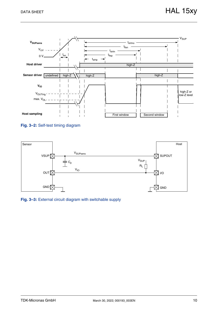

#### <span id="page-9-0"></span>**Fig. 3–2:** Self-test timing diagram



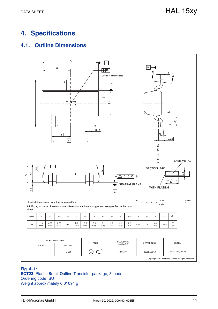# <span id="page-10-0"></span>**4. Specifications**

### <span id="page-10-1"></span>**4.1. Outline Dimensions**



#### **Fig. 4–1: SOT23**: Plastic **S**mall **O**utline **T**ransistor package, 3 leads Ordering code: SU Weight approximately 0.01094 g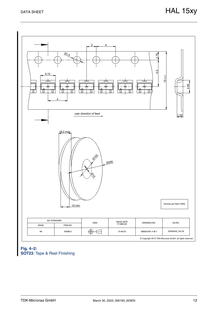

#### <span id="page-11-0"></span>**Fig. 4–2: SOT23**: Tape & Reel Finishing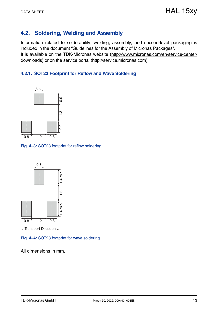### <span id="page-12-0"></span>**4.2. Soldering, Welding and Assembly**

Information related to solderability, welding, assembly, and second-level packaging is included in the document "Guidelines for the Assembly of Micronas Packages". It is available on the TDK-Micronas website [\(http://www.micronas.com/en/service-center/](http://www.micronas.com/en/service-center/downloads) [downloads](http://www.micronas.com/en/service-center/downloads)) or on the service portal [\(http://service.micronas.com\)](http://service.micronas.com).

### <span id="page-12-1"></span>**4.2.1. SOT23 Footprint for Reflow and Wave Soldering**



**Fig. 4–3:** SOT23 footprint for reflow soldering



 $\leftarrow$ Transport Direction $\rightarrow$ 

**Fig. 4–4:** SOT23 footprint for wave soldering

All dimensions in mm.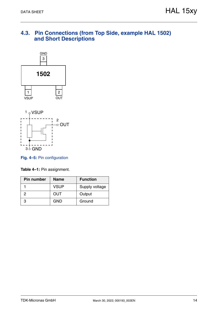### <span id="page-13-0"></span>**4.3. Pin Connections (from Top Side, example HAL 1502) and Short Descriptions**





#### **Fig. 4–5:** Pin configuration

**Table 4–1:** Pin assignment.

| <b>Pin number</b> | <b>Name</b> | <b>Function</b> |
|-------------------|-------------|-----------------|
|                   | <b>VSUP</b> | Supply voltage  |
| 2                 | OUT         | Output          |
| З                 | GND         | Ground          |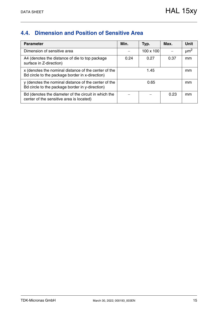## <span id="page-14-0"></span>**4.4. Dimension and Position of Sensitive Area**

| <b>Parameter</b>                                                                                        | Min. | Typ.      | Max. | <b>Unit</b>          |
|---------------------------------------------------------------------------------------------------------|------|-----------|------|----------------------|
| Dimension of sensitive area                                                                             |      | 100 x 100 |      | $\mu$ m <sup>2</sup> |
| A4 (denotes the distance of die to top package)<br>surface in Z-direction)                              | 0.24 | 0.27      | 0.37 | mm                   |
| x (denotes the nominal distance of the center of the<br>Bd circle to the package border in x-direction) |      | 1.45      |      |                      |
| y (denotes the nominal distance of the center of the<br>Bd circle to the package border in y-direction) |      | 0.65      |      |                      |
| Bd (denotes the diameter of the circuit in which the<br>center of the sensitive area is located)        |      |           | 0.23 | mm                   |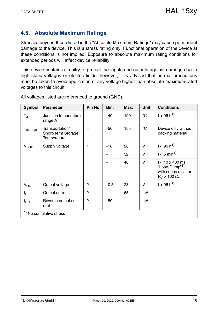### <span id="page-15-0"></span>**4.5. Absolute Maximum Ratings**

Stresses beyond those listed in the "Absolute Maximum Ratings" may cause permanent damage to the device. This is a stress rating only. Functional operation of the device at these conditions is not implied. Exposure to absolute maximum rating conditions for extended periods will affect device reliability.

This device contains circuitry to protect the inputs and outputs against damage due to high static voltages or electric fields; however, it is advised that normal precautions must be taken to avoid application of any voltage higher than absolute maximum-rated voltages to this circuit.

| Symbol               | <b>Parameter</b>                                     | <b>Pin No</b>  | Min.   | Max. | <b>Unit</b>     | <b>Conditions</b>                                                                                     |
|----------------------|------------------------------------------------------|----------------|--------|------|-----------------|-------------------------------------------------------------------------------------------------------|
| $T_{\rm J}$          | Junction temperature<br>range A                      |                | $-40$  | 190  | $\rm ^{\circ}C$ | $t < 96 h^{1}$                                                                                        |
| T <sub>storage</sub> | Transportation/<br>Short-Term Storage<br>Temperature |                | $-50$  | 155  | $\rm ^{\circ}C$ | Device only without<br>packing material                                                               |
| $V_{SUP}$            | Supply voltage                                       | 1              | $-18$  | 28   | $\vee$          | $t < 96 h^{1}$                                                                                        |
|                      |                                                      |                |        | 32   | $\vee$          | $t < 5$ min <sup>1)</sup>                                                                             |
|                      |                                                      |                |        | 40   | $\vee$          | $t < 10 \times 400$ ms<br>"Load-Dump" <sup>1)</sup><br>with series resistor<br>$R_V$ > 100 $\Omega$ . |
| $V_{\text{OUT}}$     | Output voltage                                       | 2              | $-0.5$ | 28   | $\vee$          | $t < 96 h^{1}$                                                                                        |
| Ιo                   | Output current                                       | $\overline{2}$ |        | 65   | mA              |                                                                                                       |
| $I_{OR}$             | Reverse output cur-<br>rent                          | $\overline{2}$ | $-50$  |      | mA              |                                                                                                       |
|                      | $1$ No cumulative stress                             |                |        |      |                 |                                                                                                       |

All voltages listed are referenced to ground (GND).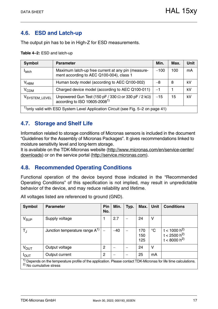### <span id="page-16-0"></span>**4.6. ESD and Latch-up**

The output pin has to be in High-Z for ESD measurements.

**Table 4–2:** ESD and latch-up

| <b>Symbol</b>                                                                                 | <b>Parameter</b>                                                                                            | Min.   | Max. | Unit |  |  |  |
|-----------------------------------------------------------------------------------------------|-------------------------------------------------------------------------------------------------------------|--------|------|------|--|--|--|
| <b>I</b> latch                                                                                | Maximum latch-up free current at any pin (measure-<br>ment according to AEC Q100-004), class 1              | $-100$ | 100  | mA   |  |  |  |
| $V_{HBM}$                                                                                     | Human body model (according to AEC Q100-002)                                                                | -8     | 8    | kV   |  |  |  |
| V <sub>CDM</sub>                                                                              | Charged device model (according to AEC Q100-011)                                                            | $-1$   |      | kV   |  |  |  |
| V <sub>SYSTEM</sub> LEVEL                                                                     | Unpowered Gun Test (150 pF / 330 $\Omega$ or 330 pF / 2 k $\Omega$ )<br>according to ISO 10605-2008 $^{1)}$ | $-15$  | 15   | kV   |  |  |  |
| <sup>1</sup> ) only valid with ESD System Level Application Circuit (see Fig. 5–2 on page 41) |                                                                                                             |        |      |      |  |  |  |

### <span id="page-16-1"></span>**4.7. Storage and Shelf Life**

Information related to storage conditions of Micronas sensors is included in the document "Guidelines for the Assembly of Micronas Packages". It gives recommendations linked to moisture sensitivity level and long-term storage.

It is available on the TDK-Micronas website [\(http://www.micronas.com/en/service-center/](http://www.micronas.com/en/service-center/downloads) [downloads\)](http://www.micronas.com/en/service-center/downloads) or on the service portal [\(http://service.micronas.com\)](http://service.micronas.com).

### <span id="page-16-2"></span>**4.8. Recommended Operating Conditions**

Functional operation of the device beyond those indicated in the "Recommended Operating Conditions" of this specification is not implied, may result in unpredictable behavior of the device, and may reduce reliability and lifetime.

| <b>Symbol</b>    | <b>Parameter</b>                                                                                                                                                   | Pin<br>No.     | Min.  | Typ. | Max.              | <b>Unit</b> | <b>Conditions</b>                                                |  |  |
|------------------|--------------------------------------------------------------------------------------------------------------------------------------------------------------------|----------------|-------|------|-------------------|-------------|------------------------------------------------------------------|--|--|
| V <sub>SUP</sub> | Supply voltage                                                                                                                                                     |                | 2.7   |      | 24                | v           |                                                                  |  |  |
| $T_{\rm J}$      | Junction temperature range $A^{1}$                                                                                                                                 |                | $-40$ |      | 170<br>150<br>125 | $^{\circ}C$ | t < 1000 h <sup>2)</sup><br>$t < 2500 h^{2}$<br>$t < 8000 h^{2}$ |  |  |
| V <sub>OUT</sub> | Output voltage                                                                                                                                                     | 2              |       |      | 24                | V           |                                                                  |  |  |
| $I_{\text{OUT}}$ | Output current                                                                                                                                                     | $\overline{2}$ |       |      | 25                | mA          |                                                                  |  |  |
|                  | <sup>1)</sup> Depends on the temperature profile of the application. Please contact TDK-Micronas for life time calculations.<br><sup>2)</sup> No cumulative stress |                |       |      |                   |             |                                                                  |  |  |

All voltages listed are referenced to ground (GND).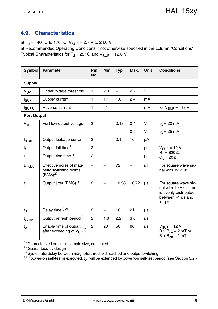### <span id="page-17-1"></span><span id="page-17-0"></span>**4.9. Characteristics**

at  $T_J = -40$  °C to 170 °C,  $V_{SUP} = 2.7$  V to 24.0 V,

at Recommended Operating Conditions if not otherwise specified in the column "Conditions". Typical Characteristics for  $T_{\rm J}$  = 25 °C and  $V_{\rm SLIP}$  = 12.0 V

| <b>Symbol</b>             | <b>Parameter</b>                                                        | Pin<br>No.               | Min.                     | Typ.                     | Max.                     | <b>Unit</b> | <b>Conditions</b>                                                                                         |
|---------------------------|-------------------------------------------------------------------------|--------------------------|--------------------------|--------------------------|--------------------------|-------------|-----------------------------------------------------------------------------------------------------------|
| <b>Supply</b>             |                                                                         |                          |                          |                          |                          |             |                                                                                                           |
| $V_{UV}$                  | Undervoltage threshold                                                  | 1                        | 2.0                      | $\equiv$                 | 2.7                      | $\vee$      |                                                                                                           |
| I <sub>SUP</sub>          | Supply current                                                          | 1                        | 1.1                      | 1.6                      | 2.4                      | mA          |                                                                                                           |
| <b>I</b> <sub>SUPR</sub>  | Reverse current                                                         | 1                        | $-1$                     | $\overline{\phantom{0}}$ | $\overline{\phantom{0}}$ | mA          | for $V_{\text{SUP}} = -18$ V                                                                              |
| <b>Port Output</b>        |                                                                         |                          |                          |                          |                          |             |                                                                                                           |
| $V_{ol}$                  | Port low output voltage                                                 |                          | $\overline{\phantom{0}}$ | 0.13                     | 0.4                      | V           | $I_{\Omega} = 20 \text{ mA}$                                                                              |
|                           |                                                                         |                          | $\overline{\phantom{0}}$ | $\equiv$                 | 0.5                      | V           | $I_{\Omega} = 25 \text{ mA}$                                                                              |
| <b>I</b> <sub>oleak</sub> | Output leakage current                                                  | $\overline{2}$           | $\overline{\phantom{0}}$ | 0.1                      | 10                       | μA          |                                                                                                           |
| $t_{\rm f}$               | Output fall time <sup>1)</sup>                                          | $\overline{2}$           | $\overline{\phantom{0}}$ |                          | $\mathbf{1}$             | $\mu s$     | $V_{SUP} = 12 V;$                                                                                         |
| $t_{r}$                   | Output rise time <sup>1)</sup>                                          | $\overline{2}$           | $\overline{\phantom{0}}$ | $\overline{\phantom{0}}$ | 1                        | μs          | $R_1 = 820 \Omega$ ;<br>$C_1 = 20 pF$                                                                     |
| <b>B</b> <sub>noise</sub> | Effective noise of mag-<br>netic switching points<br>(RMS) <sup>2</sup> | $\overline{\phantom{0}}$ | $\overline{\phantom{0}}$ | 72                       |                          | μT          | For square wave sig-<br>nal with 12 kHz                                                                   |
| $t_{\rm i}$               | Output jitter (RMS) <sup>1)</sup>                                       | $\overline{2}$           | $\overline{\phantom{0}}$ | ±0.58                    | ±0.72                    | μs          | For square wave sig-<br>nal with 1 kHz. Jitter<br>is evenly distributed<br>between $-1$ µs and<br>$+1$ µs |
| $t_{d}$                   | Delay time <sup>2)</sup> 3)                                             | $\overline{2}$           | $\overline{\phantom{0}}$ | 16                       | 21                       | μs          |                                                                                                           |
| $t_{\sf{samp}}$           | Output refresh period <sup>2)</sup>                                     | $\overline{2}$           | 1.6                      | 2.2                      | 3.0                      | μs          |                                                                                                           |
| $t_{en}$                  | Enable time of output<br>after exceeding of $V_{UV}$ <sup>4)</sup>      | $\overline{2}$           | 20                       | 50                       | 60                       | μs          | $V_{SIIP}$ = 12 V<br>$B > B_{on} + 2$ mT or<br>$B < B_{off} - 2 mT$                                       |

1) Characterized on small sample size, not tested

2) Guaranteed by design

3) Systematic delay between magnetic threshold reached and output switching

<sup>4)</sup> If power-on self-test is executed,  $t_{en}$  will be extended by power-on self-test period [\(see Section 3.2.\)](#page-8-3)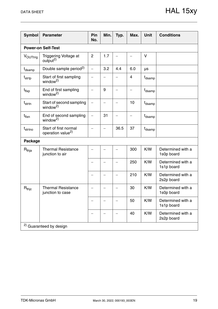| <b>Symbol</b>       | <b>Parameter</b>                                       | Pin<br>No.               | Min. | Typ.                     | Max.                     | <b>Unit</b>        | <b>Conditions</b>               |
|---------------------|--------------------------------------------------------|--------------------------|------|--------------------------|--------------------------|--------------------|---------------------------------|
|                     | <b>Power-on Self-Test</b>                              |                          |      |                          |                          |                    |                                 |
| VOUTtrig            | Triggering Voltage at<br>output <sup>2)</sup>          | $\overline{2}$           | 1.7  |                          |                          | V                  |                                 |
| t <sub>dsamp</sub>  | Double sample period <sup>2)</sup>                     | $\overline{\phantom{0}}$ | 3.2  | 4.4                      | 6.0                      | μs                 |                                 |
| t <sub>strtp</sub>  | Start of first sampling<br>window <sup>2)</sup>        |                          |      |                          | 4                        | t <sub>dsamp</sub> |                                 |
| $t_{\sf{flxp}}$     | End of first sampling<br>window <sup>2)</sup>          |                          | 9    |                          | $\overline{\phantom{0}}$ | t <sub>dsamp</sub> |                                 |
| t <sub>strtn</sub>  | Start of second sampling<br>window <sup>2)</sup>       | $\overline{\phantom{0}}$ |      | $\overline{\phantom{0}}$ | 10                       | t <sub>dsamp</sub> |                                 |
| $t_{\text{flxn}}$   | End of second sampling<br>window <sup>2)</sup>         | $\qquad \qquad -$        | 31   | $\overline{\phantom{0}}$ | $\overline{\phantom{0}}$ | t <sub>dsamp</sub> |                                 |
| t <sub>strtno</sub> | Start of first normal<br>operation value <sup>2)</sup> |                          |      | 36.5                     | 37                       | t <sub>dsamp</sub> |                                 |
| <b>Package</b>      |                                                        |                          |      |                          |                          |                    |                                 |
| $R_{thja}$          | <b>Thermal Resistance</b><br>junction to air           |                          |      |                          | 300                      | K/W                | Determined with a<br>1s0p board |
|                     |                                                        |                          |      |                          | 250                      | K/W                | Determined with a<br>1s1p board |
|                     |                                                        |                          |      |                          | 210                      | K/W                | Determined with a<br>2s2p board |
| $R_{\mathsf{thjc}}$ | <b>Thermal Resistance</b><br>junction to case          |                          |      |                          | 30                       | K/W                | Determined with a<br>1s0p board |
|                     |                                                        |                          |      |                          | 50                       | K/W                | Determined with a<br>1s1p board |
|                     |                                                        |                          |      |                          | 40                       | K/W                | Determined with a<br>2s2p board |
|                     | <sup>2)</sup> Guaranteed by design                     |                          |      |                          |                          |                    |                                 |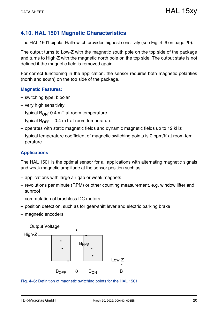### <span id="page-19-0"></span>**4.10. HAL 1501 Magnetic Characteristics**

The HAL 1501 bipolar Hall-switch provides highest sensitivity [\(see Fig. 4–6 on page 20\)](#page-19-1).

The output turns to Low-Z with the magnetic south pole on the top side of the package and turns to High-Z with the magnetic north pole on the top side. The output state is not defined if the magnetic field is removed again.

For correct functioning in the application, the sensor requires both magnetic polarities (north and south) on the top side of the package.

#### **Magnetic Features:**

- switching type: bipolar
- very high sensitivity
- typical  $B_{ON}$ : 0.4 mT at room temperature
- typical  $B_{\text{OFF}}$ : –0.4 mT at room temperature
- operates with static magnetic fields and dynamic magnetic fields up to 12 kHz
- typical temperature coefficient of magnetic switching points is 0 ppm/K at room temperature

#### **Applications**

The HAL 1501 is the optimal sensor for all applications with alternating magnetic signals and weak magnetic amplitude at the sensor position such as:

- applications with large air gap or weak magnets
- revolutions per minute (RPM) or other counting measurement, e.g. window lifter and sunroof
- commutation of brushless DC motors
- position detection, such as for gear-shift lever and electric parking brake
- magnetic encoders



<span id="page-19-1"></span>**Fig. 4–6:** Definition of magnetic switching points for the HAL 1501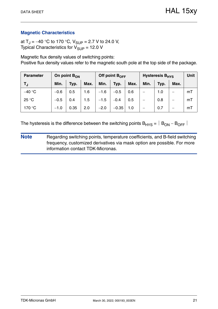at T<sub>J</sub> = -40 °C to 170 °C, V<sub>SUP</sub> = 2.7 V to 24.0 V, Typical Characteristics for  $V_{\text{SUP}} = 12.0 \text{ V}$ 

Magnetic flux density values of switching points: Positive flux density values refer to the magnetic south pole at the top side of the package.

| <b>Parameter</b> | On point $B_{ON}$ |      |      | Off point $B_{\text{OFF}}$ |         |      | Hysteresis B <sub>HYS</sub> | <b>Unit</b> |      |    |
|------------------|-------------------|------|------|----------------------------|---------|------|-----------------------------|-------------|------|----|
| TJ.              | Min.              | Typ. | Max. | Min.                       | Typ.    | Max. | Min.                        | Typ.        | Max. |    |
| $-40 °C$         | $-0.6$            | 0.5  | 1.6  | $-1.6$                     | $-0.5$  | 0.6  |                             | 1.0         |      | mT |
| 25 °C            | $-0.5$            | 0.4  | 1.5  | $-1.5$                     | $-0.4$  | 0.5  |                             | 0.8         |      | mT |
| 170 °C           | $-1.0$            | 0.35 | 2.0  | $-2.0$                     | $-0.35$ | 1.0  |                             | 0.7         |      | mT |

The hysteresis is the difference between the switching points  $B_{HYS} = |B_{ON} - B_{OFF}|$ 

**Note** Regarding switching points, temperature coefficients, and B-field switching frequency, customized derivatives via mask option are possible. For more information contact TDK-Micronas.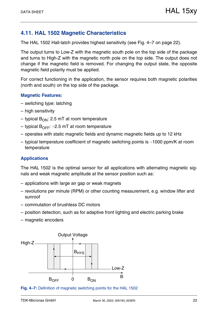### <span id="page-21-0"></span>**4.11. HAL 1502 Magnetic Characteristics**

The HAL 1502 Hall-latch provides highest sensitivity [\(see Fig. 4–7 on page 22\)](#page-21-1).

The output turns to Low-Z with the magnetic south pole on the top side of the package and turns to High-Z with the magnetic north pole on the top side. The output does not change if the magnetic field is removed. For changing the output state, the opposite magnetic field polarity must be applied.

For correct functioning in the application, the sensor requires both magnetic polarities (north and south) on the top side of the package.

#### **Magnetic Features:**

- switching type: latching
- high sensitivity
- typical  $B_{ON}$ : 2.5 mT at room temperature
- typical  $B_{\text{OFF}}$ : –2.5 mT at room temperature
- operates with static magnetic fields and dynamic magnetic fields up to 12 kHz
- $-$  typical temperature coefficient of magnetic switching points is  $-1000$  ppm/K at room temperature

#### **Applications**

The HAL 1502 is the optimal sensor for all applications with alternating magnetic signals and weak magnetic amplitude at the sensor position such as:

- applications with large air gap or weak magnets
- revolutions per minute (RPM) or other counting measurement, e.g. window lifter and sunroof
- commutation of brushless DC motors
- position detection, such as for adaptive front lighting and electric parking brake
- magnetic encoders



<span id="page-21-1"></span>**Fig. 4–7:** Definition of magnetic switching points for the HAL 1502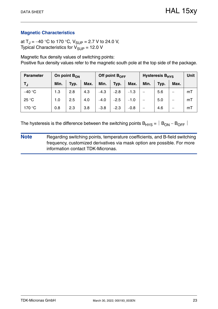at T<sub>J</sub> = -40 °C to 170 °C, V<sub>SUP</sub> = 2.7 V to 24.0 V, Typical Characteristics for  $V_{\text{SUP}} = 12.0 \text{ V}$ 

Magnetic flux density values of switching points: Positive flux density values refer to the magnetic south pole at the top side of the package.

| <b>Parameter</b> | On point $B_{ON}$ |      |      |        | Off point $B_{\text{OFF}}$ |        | <b>Hysteresis B<sub>HYS</sub></b> | Unit |      |    |
|------------------|-------------------|------|------|--------|----------------------------|--------|-----------------------------------|------|------|----|
| TJ.              | Min.              | Typ. | Max. | Min.   | Typ.                       | Max.   | Min.                              | Typ. | Max. |    |
| $-40$ °C         | 1.3               | 2.8  | 4.3  | $-4.3$ | $-2.8$                     | $-1.3$ |                                   | 5.6  | –    | mT |
| 25 °C            | 1.0               | 2.5  | 4.0  | $-4.0$ | $-2.5$                     | $-1.0$ | $\overline{\phantom{0}}$          | 5.0  | —    | mT |
| 170 °C           | 0.8               | 2.3  | 3.8  | $-3.8$ | $-2.3$                     | $-0.8$ | —                                 | 4.6  | –    | mT |

The hysteresis is the difference between the switching points  $B_{HYS} = |B_{ON} - B_{OFF}|$ 

**Note** Regarding switching points, temperature coefficients, and B-field switching frequency, customized derivatives via mask option are possible. For more information contact TDK-Micronas.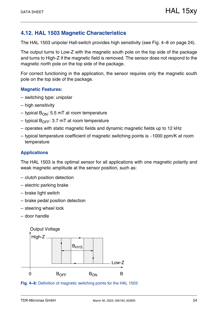### <span id="page-23-0"></span>**4.12. HAL 1503 Magnetic Characteristics**

The HAL 1503 unipolar Hall-switch provides high sensitivity [\(see Fig. 4–8 on page 24\)](#page-23-1).

The output turns to Low-Z with the magnetic south pole on the top side of the package and turns to High-Z if the magnetic field is removed. The sensor does not respond to the magnetic north pole on the top side of the package.

For correct functioning in the application, the sensor requires only the magnetic south pole on the top side of the package.

#### **Magnetic Features:**

- switching type: unipolar
- high sensitivity
- typical  $B_{ON}$ : 5.5 mT at room temperature
- typical  $B_{\text{OFF}}$ : 3.7 mT at room temperature
- operates with static magnetic fields and dynamic magnetic fields up to 12 kHz
- $-$  typical temperature coefficient of magnetic switching points is  $-1000$  ppm/K at room temperature

#### **Applications**

The HAL 1503 is the optimal sensor for all applications with one magnetic polarity and weak magnetic amplitude at the sensor position, such as:

- clutch position detection
- electric parking brake
- brake light switch
- brake pedal position detection
- steering wheel lock
- door handle



<span id="page-23-1"></span>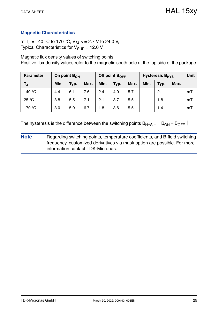at T<sub>J</sub> = -40 °C to 170 °C, V<sub>SUP</sub> = 2.7 V to 24.0 V, Typical Characteristics for  $V_{\text{SUP}} = 12.0 \text{ V}$ 

Magnetic flux density values of switching points: Positive flux density values refer to the magnetic south pole at the top side of the package.

| <b>Parameter</b> | On point $B_{ON}$ |      |      |      | Off point $B_{OFF}$ |      | <b>Hysteresis B<sub>HYS</sub></b> | Unit |      |    |
|------------------|-------------------|------|------|------|---------------------|------|-----------------------------------|------|------|----|
| TJ               | Min.              | Typ. | Max. | Min. | Typ.                | Max. | Min.                              | Typ. | Max. |    |
| $-40$ °C         | 4.4               | 6.1  | 7.6  | 2.4  | 4.0                 | 5.7  | —                                 | 2.1  |      | mT |
| 25 °C            | 3.8               | 5.5  | 7.1  | 2.1  | 3.7                 | 5.5  | —                                 | 1.8  | —    | mT |
| 170 °C           | 3.0               | 5.0  | 6.7  | 1.8  | 3.6                 | 5.5  |                                   | 1.4  | –    | mT |

The hysteresis is the difference between the switching points  $B_{HYS} = |B_{ON} - B_{OFF}|$ 

**Note** Regarding switching points, temperature coefficients, and B-field switching frequency, customized derivatives via mask option are possible. For more information contact TDK-Micronas.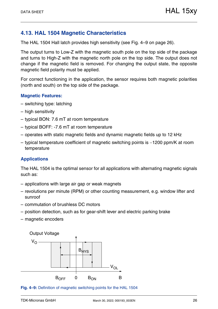### <span id="page-25-0"></span>**4.13. HAL 1504 Magnetic Characteristics**

The HAL 1504 Hall latch provides high sensitivity [\(see Fig. 4–9 on page 26\)](#page-25-1).

The output turns to Low-Z with the magnetic south pole on the top side of the package and turns to High-Z with the magnetic north pole on the top side. The output does not change if the magnetic field is removed. For changing the output state, the opposite magnetic field polarity must be applied.

For correct functioning in the application, the sensor requires both magnetic polarities (north and south) on the top side of the package.

#### **Magnetic Features:**

- switching type: latching
- high sensitivity
- typical BON: 7.6 mT at room temperature
- typical BOFF: -7.6 mT at room temperature
- operates with static magnetic fields and dynamic magnetic fields up to 12 kHz
- $-$  typical temperature coefficient of magnetic switching points is  $-1200$  ppm/K at room temperature

#### **Applications**

The HAL 1504 is the optimal sensor for all applications with alternating magnetic signals such as:

- applications with large air gap or weak magnets
- revolutions per minute (RPM) or other counting measurement, e.g. window lifter and sunroof
- commutation of brushless DC motors
- position detection, such as for gear-shift lever and electric parking brake
- magnetic encoders



<span id="page-25-1"></span>**Fig. 4–9:** Definition of magnetic switching points for the HAL 1504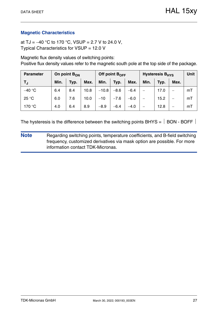at TJ =  $-40$  °C to 170 °C, VSUP = 2.7 V to 24.0 V, Typical Characteristics for VSUP = 12.0 V

Magnetic flux density values of switching points: Positive flux density values refer to the magnetic south pole at the top side of the package.

| <b>Parameter</b> | On point $B_{ON}$ |      |      |         | Off point B <sub>OFF</sub> |        | <b>Hysteresis B<sub>HYS</sub></b> | <b>Unit</b> |      |    |
|------------------|-------------------|------|------|---------|----------------------------|--------|-----------------------------------|-------------|------|----|
| T」               | Min.              | Typ. | Max. | Min.    | Typ.                       | Max.   | Min.                              | Typ.        | Max. |    |
| $-40 °C$         | 6.4               | 8.4  | 10.8 | $-10.8$ | $-8.6$                     | $-6.4$ |                                   | 17.0        |      | mT |
| 25 °C            | 6.0               | 7.6  | 10.0 | $-10$   | $-7.6$                     | $-6.0$ | —                                 | 15.2        |      | mT |
| 170 °C           | 4.0               | 6.4  | 8.9  | $-8.9$  | $-6.4$                     | $-4.0$ |                                   | 12.8        |      | mT |

The hysteresis is the difference between the switching points BHYS =  $\vert$  BON - BOFF  $\vert$ 

**Note** Regarding switching points, temperature coefficients, and B-field switching frequency, customized derivatives via mask option are possible. For more information contact TDK-Micronas.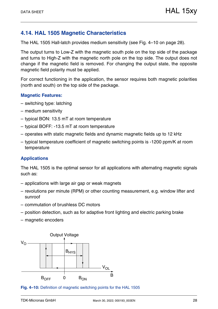### <span id="page-27-0"></span>**4.14. HAL 1505 Magnetic Characteristics**

The HAL 1505 Hall-latch provides medium sensitivity [\(see Fig. 4–10 on page 28\).](#page-27-1)

The output turns to Low-Z with the magnetic south pole on the top side of the package and turns to High-Z with the magnetic north pole on the top side. The output does not change if the magnetic field is removed. For changing the output state, the opposite magnetic field polarity must be applied.

For correct functioning in the application, the sensor requires both magnetic polarities (north and south) on the top side of the package.

#### **Magnetic Features:**

- switching type: latching
- medium sensitivity
- typical BON: 13.5 mT at room temperature
- typical BOFF: -13.5 mT at room temperature
- operates with static magnetic fields and dynamic magnetic fields up to 12 kHz
- typical temperature coefficient of magnetic switching points is -1200 ppm/K at room temperature

#### **Applications**

The HAL 1505 is the optimal sensor for all applications with alternating magnetic signals such as:

- applications with large air gap or weak magnets
- revolutions per minute (RPM) or other counting measurement, e.g. window lifter and sunroof
- commutation of brushless DC motors
- position detection, such as for adaptive front lighting and electric parking brake
- magnetic encoders



<span id="page-27-1"></span>**Fig. 4–10:** Definition of magnetic switching points for the HAL 1505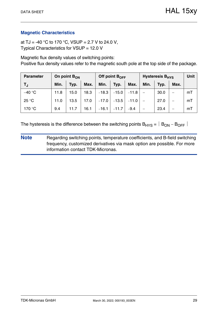at TJ = -40 °C to 170 °C, VSUP = 2.7 V to 24.0 V, Typical Characteristics for VSUP = 12.0 V

Magnetic flux density values of switching points: Positive flux density values refer to the magnetic south pole at the top side of the package.

| <b>Parameter</b> | On point $B_{ON}$ |      |      |         | Off point $B_{\text{OFF}}$ |         | Hysteresis B <sub>HYS</sub> | <b>Unit</b> |      |    |
|------------------|-------------------|------|------|---------|----------------------------|---------|-----------------------------|-------------|------|----|
| T,               | Min.              | Typ. | Max. | Min.    | Typ.                       | Max.    | Min.                        | Typ.        | Max. |    |
| $-40 °C$         | 11.8              | 15.0 | 18.3 | $-18.3$ | $-15.0$                    | $-11.8$ |                             | 30.0        | —    | mT |
| 25 °C            | 11.0              | 13.5 | 17.0 | $-17.0$ | $-13.5$                    | $-11.0$ |                             | 27.0        | —    | mT |
| 170 °C           | 9.4               | 11.7 | 16.1 | $-16.1$ | $-11.7$                    | $-9.4$  |                             | 23.4        |      | mT |

The hysteresis is the difference between the switching points  $B_{HYS} = |B_{ON} - B_{OFF}|$ 

**Note** Regarding switching points, temperature coefficients, and B-field switching frequency, customized derivatives via mask option are possible. For more information contact TDK-Micronas.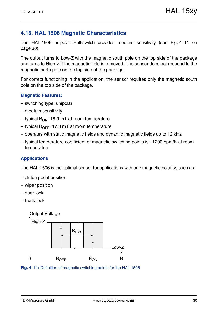### <span id="page-29-0"></span>**4.15. HAL 1506 Magnetic Characteristics**

The HAL 1506 unipolar Hall-switch provides medium sensitivity [\(see Fig. 4–11 on](#page-29-1) [page 30\)](#page-29-1).

The output turns to Low-Z with the magnetic south pole on the top side of the package and turns to High-Z if the magnetic field is removed. The sensor does not respond to the magnetic north pole on the top side of the package.

For correct functioning in the application, the sensor requires only the magnetic south pole on the top side of the package.

#### **Magnetic Features:**

- switching type: unipolar
- medium sensitivity
- typical  $B_{ON}$ : 18.9 mT at room temperature
- typical  $B_{\text{OFF}}$ : 17.3 mT at room temperature
- operates with static magnetic fields and dynamic magnetic fields up to 12 kHz
- $-$  typical temperature coefficient of magnetic switching points is  $-1200$  ppm/K at room temperature

#### **Applications**

The HAL 1506 is the optimal sensor for applications with one magnetic polarity, such as:

- clutch pedal position
- wiper position
- door lock
- trunk lock



<span id="page-29-1"></span>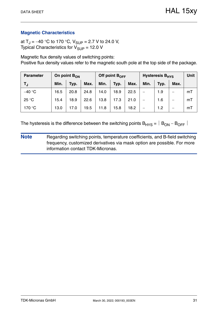at T<sub>J</sub> = -40 °C to 170 °C, V<sub>SUP</sub> = 2.7 V to 24.0 V, Typical Characteristics for  $V_{\text{SUP}} = 12.0 \text{ V}$ 

Magnetic flux density values of switching points: Positive flux density values refer to the magnetic south pole at the top side of the package.

| <b>Parameter</b> | On point $B_{ON}$ |      |      |      | Off point $B_{\text{OFF}}$ |      | <b>Hysteresis B<sub>HYS</sub></b> | Unit |      |    |
|------------------|-------------------|------|------|------|----------------------------|------|-----------------------------------|------|------|----|
| TJ.              | Min.              | Typ. | Max. | Min. | Typ.                       | Max. | Min.                              | Typ. | Max. |    |
| $-40 °C$         | 16.5              | 20.8 | 24.8 | 14.0 | 18.9                       | 22.5 |                                   | 1.9  | —    | mT |
| 25 °C            | 15.4              | 18.9 | 22.6 | 13.8 | 17.3                       | 21.0 | $\overline{\phantom{0}}$          | 1.6  | —    | mT |
| 170 °C           | 13.0              | 17.0 | 19.5 | 11.8 | 15.8                       | 18.2 |                                   | 1.2  | –    | mT |

The hysteresis is the difference between the switching points  $B_{HYS} = |B_{ON} - B_{OFF}|$ 

**Note** Regarding switching points, temperature coefficients, and B-field switching frequency, customized derivatives via mask option are possible. For more information contact TDK-Micronas.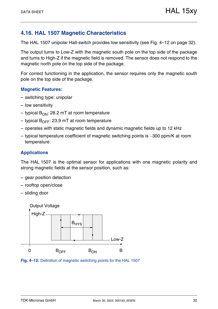### <span id="page-31-0"></span>**4.16. HAL 1507 Magnetic Characteristics**

The HAL 1507 unipolar Hall-switch provides low sensitivity [\(see Fig. 4–12 on page 32\)](#page-31-1).

The output turns to Low-Z with the magnetic south pole on the top side of the package and turns to High-Z if the magnetic field is removed. The sensor does not respond to the magnetic north pole on the top side of the package.

For correct functioning in the application, the sensor requires only the magnetic south pole on the top side of the package.

#### **Magnetic Features:**

- switching type: unipolar
- low sensitivity
- typical  $B_{ON}$ : 28.2 mT at room temperature
- typical  $B_{\text{OFF}}$ : 23.9 mT at room temperature
- operates with static magnetic fields and dynamic magnetic fields up to 12 kHz
- $-$  typical temperature coefficient of magnetic switching points is  $-300$  ppm/K at room temperature

#### **Applications**

The HAL 1507 is the optimal sensor for applications with one magnetic polarity and strong magnetic fields at the sensor position, such as:

- gear position detection
- rooftop open/close
- sliding door



<span id="page-31-1"></span>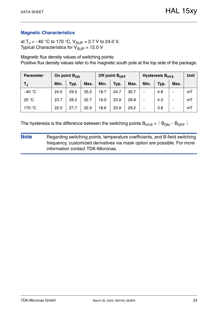at T<sub>J</sub> = -40 °C to 170 °C, V<sub>SUP</sub> = 2.7 V to 24.0 V, Typical Characteristics for  $V_{\text{SUP}} = 12.0 \text{ V}$ 

Magnetic flux density values of switching points: Positive flux density values refer to the magnetic south pole at the top side of the package.

| <b>Parameter</b> | On point $B_{ON}$ |      |      |      | Off point $B_{\text{OFF}}$ |      | <b>Hysteresis B<sub>HYS</sub></b> | <b>Unit</b> |      |    |
|------------------|-------------------|------|------|------|----------------------------|------|-----------------------------------|-------------|------|----|
| T,               | Min.              | Typ. | Max. | Min. | Typ.                       | Max. | Min.                              | Typ.        | Max. |    |
| $-40 °C$         | 24.0              | 29.5 | 35.0 | 18.7 | 24.7                       | 30.7 |                                   | 4.8         | –    | mT |
| 25 °C            | 23.7              | 28.2 | 32.7 | 19.0 | 23.9                       | 28.8 |                                   | 4.3         | —    | mT |
| 170 °C           | 22.5              | 27.7 | 32.9 | 18.6 | 23.9                       | 29.2 |                                   | 3.8         | –    | mT |

The hysteresis is the difference between the switching points  $B_{HYS} = |B_{ON} - B_{OFF}|$ 

**Note** Regarding switching points, temperature coefficients, and B-field switching frequency, customized derivatives via mask option are possible. For more information contact TDK-Micronas.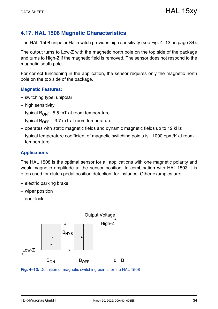### <span id="page-33-0"></span>**4.17. HAL 1508 Magnetic Characteristics**

The HAL 1508 unipolar Hall-switch provides high sensitivity [\(see Fig. 4–13 on page 34\)](#page-33-1).

The output turns to Low-Z with the magnetic north pole on the top side of the package and turns to High-Z if the magnetic field is removed. The sensor does not respond to the magnetic south pole.

For correct functioning in the application, the sensor requires only the magnetic north pole on the top side of the package.

#### **Magnetic Features:**

- switching type: unipolar
- high sensitivity
- typical  $B_{ON}$ : -5.5 mT at room temperature
- typical  $B_{\text{OFF}}$ : –3.7 mT at room temperature
- operates with static magnetic fields and dynamic magnetic fields up to 12 kHz
- $-$  typical temperature coefficient of magnetic switching points is  $-1000$  ppm/K at room temperature

#### **Applications**

The HAL 1508 is the optimal sensor for all applications with one magnetic polarity and weak magnetic amplitude at the sensor position. In combination with HAL 1503 it is often used for clutch pedal position detection, for instance. Other examples are:

- electric parking brake
- wiper position
- door lock



<span id="page-33-1"></span>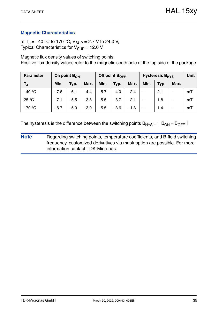at T<sub>J</sub> = -40 °C to 170 °C, V<sub>SUP</sub> = 2.7 V to 24.0 V, Typical Characteristics for  $V_{\text{SUP}} = 12.0 \text{ V}$ 

Magnetic flux density values of switching points: Positive flux density values refer to the magnetic south pole at the top side of the package.

| <b>Parameter</b> | On point $B_{ON}$ |        |        |        | Off point $B_{\text{OFF}}$ |        | Hysteresis B <sub>HYS</sub> | <b>Unit</b> |      |    |
|------------------|-------------------|--------|--------|--------|----------------------------|--------|-----------------------------|-------------|------|----|
| TJ               | Min.              | Typ.   | Max.   | Min.   | Typ.                       | Max.   | Min.                        | Typ.        | Max. |    |
| $-40 °C$         | $-7.6$            | $-6.1$ | $-4.4$ | $-5.7$ | $-4.0$                     | $-2.4$ |                             | 2.1         |      | mT |
| 25 °C            | $-7.1$            | $-5.5$ | $-3.8$ | $-5.5$ | $-3.7$                     | $-2.1$ |                             | 1.8         | —    | mT |
| 170 °C           | $-6.7$            | $-5.0$ | $-3.0$ | $-5.5$ | $-3.6$                     | $-1.8$ |                             | 1.4         | –    | mT |

The hysteresis is the difference between the switching points  $B_{HYS} = |B_{ON} - B_{OFF}|$ 

**Note** Regarding switching points, temperature coefficients, and B-field switching frequency, customized derivatives via mask option are possible. For more information contact TDK-Micronas.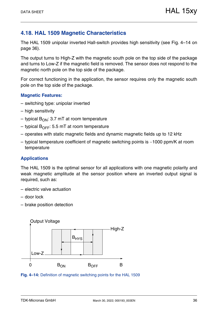### <span id="page-35-0"></span>**4.18. HAL 1509 Magnetic Characteristics**

The HAL 1509 unipolar inverted Hall-switch provides high sensitivity [\(see Fig. 4–14 on](#page-35-1) [page 36\)](#page-35-1).

The output turns to High-Z with the magnetic south pole on the top side of the package and turns to Low-Z if the magnetic field is removed. The sensor does not respond to the magnetic north pole on the top side of the package.

For correct functioning in the application, the sensor requires only the magnetic south pole on the top side of the package.

#### **Magnetic Features:**

- switching type: unipolar inverted
- high sensitivity
- typical  $B_{ON}$ : 3.7 mT at room temperature
- typical  $B_{\text{OFF}}$ : 5.5 mT at room temperature
- operates with static magnetic fields and dynamic magnetic fields up to 12 kHz
- $-$  typical temperature coefficient of magnetic switching points is  $-1000$  ppm/K at room temperature

#### **Applications**

The HAL 1509 is the optimal sensor for all applications with one magnetic polarity and weak magnetic amplitude at the sensor position where an inverted output signal is required, such as:

- electric valve actuation
- door lock
- brake position detection



<span id="page-35-1"></span>**Fig. 4–14:** Definition of magnetic switching points for the HAL 1509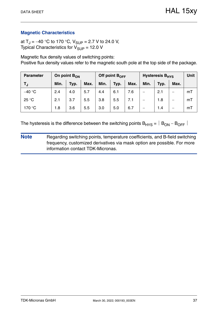at T<sub>J</sub> = -40 °C to 170 °C, V<sub>SUP</sub> = 2.7 V to 24.0 V, Typical Characteristics for  $V_{\text{SUP}} = 12.0 \text{ V}$ 

Magnetic flux density values of switching points: Positive flux density values refer to the magnetic south pole at the top side of the package.

| <b>Parameter</b> | On point $B_{ON}$ |      |      |      | Off point $B_{OFF}$ |      | <b>Hysteresis B<sub>HYS</sub></b> | <b>Unit</b> |      |    |
|------------------|-------------------|------|------|------|---------------------|------|-----------------------------------|-------------|------|----|
| TJ               | Min.              | Typ. | Max. | Min. | Typ.                | Max. | Min.                              | Typ.        | Max. |    |
| $-40 °C$         | 2.4               | 4.0  | 5.7  | 4.4  | 6.1                 | 7.6  | –                                 | 2.1         | –    | mT |
| 25 °C            | 2.1               | 3.7  | 5.5  | 3.8  | 5.5                 | 7.1  | —                                 | 1.8         | —    | mT |
| 170 °C           | 1.8               | 3.6  | 5.5  | 3.0  | 5.0                 | 6.7  |                                   | 1.4         | –    | mT |

The hysteresis is the difference between the switching points  $B_{HYS} = |B_{ON} - B_{OFF}|$ 

**Note** Regarding switching points, temperature coefficients, and B-field switching frequency, customized derivatives via mask option are possible. For more information contact TDK-Micronas.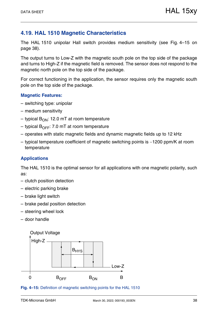### <span id="page-37-0"></span>**4.19. HAL 1510 Magnetic Characteristics**

The HAL 1510 unipolar Hall switch provides medium sensitivity [\(see Fig. 4–15 on](#page-37-1) [page 38\)](#page-37-1).

The output turns to Low-Z with the magnetic south pole on the top side of the package and turns to High-Z if the magnetic field is removed. The sensor does not respond to the magnetic north pole on the top side of the package.

For correct functioning in the application, the sensor requires only the magnetic south pole on the top side of the package.

#### **Magnetic Features:**

- switching type: unipolar
- medium sensitivity
- typical  $B_{ON}$ : 12.0 mT at room temperature
- typical  $B_{\text{OFF}}$ : 7.0 mT at room temperature
- operates with static magnetic fields and dynamic magnetic fields up to 12 kHz
- $-$  typical temperature coefficient of magnetic switching points is  $-1200$  ppm/K at room temperature

#### **Applications**

The HAL 1510 is the optimal sensor for all applications with one magnetic polarity, such as:

- clutch position detection
- electric parking brake
- brake light switch
- brake pedal position detection
- steering wheel lock
- door handle



#### <span id="page-37-1"></span>**Fig. 4–15:** Definition of magnetic switching points for the HAL 1510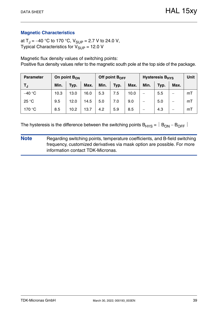at  $T_J = -40$  °C to 170 °C,  $V_{SUP} = 2.7$  V to 24.0 V, Typical Characteristics for  $V_{SIIP}$  = 12.0 V

Magnetic flux density values of switching points:

Positive flux density values refer to the magnetic south pole at the top side of the package.

| <b>Parameter</b> | On point $B_{ON}$ |      |      |      | Off point $B_{\text{OFF}}$ |      | <b>Hysteresis B<sub>HYS</sub></b> | <b>Unit</b> |      |    |
|------------------|-------------------|------|------|------|----------------------------|------|-----------------------------------|-------------|------|----|
| T,               | Min.              | Typ. | Max. | Min. | Typ.                       | Max. | Min.                              | Typ.        | Max. |    |
| $-40 °C$         | 10.3              | 13.0 | 16.0 | 5.3  | 7.5                        | 10.0 | —                                 | 5.5         | —    | mT |
| 25 °C            | 9.5               | 12.0 | 14.5 | 5.0  | 7.0                        | 9.0  |                                   | 5.0         |      | mT |
| 170 °C           | 8.5               | 10.2 | 13.7 | 4.2  | 5.9                        | 8.5  |                                   | 4.3         |      | mT |

The hysteresis is the difference between the switching points  $B_{HYS} = |B_{ON} - B_{OFF}|$ 

**Note** Regarding switching points, temperature coefficients, and B-field switching frequency, customized derivatives via mask option are possible. For more information contact TDK-Micronas.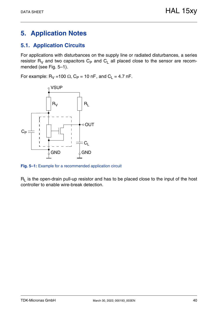# <span id="page-39-0"></span>**5. Application Notes**

### <span id="page-39-1"></span>**5.1. Application Circuits**

For applications with disturbances on the supply line or radiated disturbances, a series resistor  $R_V$  and two capacitors  $C_P$  and  $C_L$  all placed close to the sensor are recommended [\(see Fig. 5–1\)](#page-39-2).

For example:  $R_V = 100 \Omega$ ,  $C_P = 10 \text{ nF}$ , and  $C_L = 4.7 \text{ nF}$ .



<span id="page-39-2"></span>**Fig. 5–1:** Example for a recommended application circuit

 $R<sub>l</sub>$  is the open-drain pull-up resistor and has to be placed close to the input of the host controller to enable wire-break detection.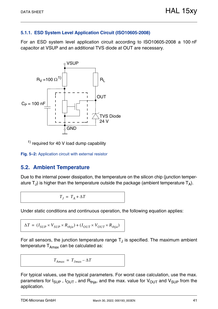#### <span id="page-40-0"></span>**5.1.1. ESD System Level Application Circuit (ISO10605-2008)**

For an ESD system level application circuit according to ISO10605-2008 a 100 nF capacitor at VSUP and an additional TVS diode at OUT are necessary.



<span id="page-40-3"></span>1) required for 40 V load dump capability

**Fig. 5–2:** Application circuit with external resistor

### <span id="page-40-2"></span><span id="page-40-1"></span>**5.2. Ambient Temperature**

Due to the internal power dissipation, the temperature on the silicon chip (junction temperature  $T_{\text{J}}$ ) is higher than the temperature outside the package (ambient temperature  $T_{\text{A}}$ ).

 $T_I = T_A + \Delta T$ 

Under static conditions and continuous operation, the following equation applies:

$$
\Delta T = (I_{SUP} \times V_{SUP} \times R_{thja}) + (I_{OUT} \times V_{OUT} \times R_{thja})
$$

For all sensors, the junction temperature range  $T_J$  is specified. The maximum ambient temperature  $T_{Amax}$  can be calculated as:

$$
T_{Amax} = T_{Jmax} - \Delta T
$$

For typical values, use the typical parameters. For worst case calculation, use the max. parameters for  $I_{\text{SUP}}$ ,  $I_{\text{OUT}}$ , and  $R_{\text{thja}}$ , and the max. value for  $V_{\text{OUT}}$  and  $V_{\text{SUP}}$  from the application.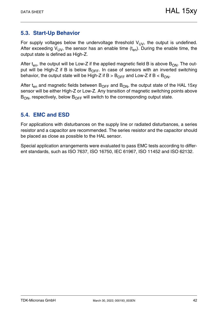### <span id="page-41-0"></span>**5.3. Start-Up Behavior**

For supply voltages below the undervoltage threshold  $V_{UV}$ , the output is undefined. After exceeding  $V_{UV}$ , the sensor has an enable time  $(t_{en})$ . During the enable time, the output state is defined as High-Z.

After  $t_{en}$ , the output will be Low-Z if the applied magnetic field B is above  $B_{ON}$ . The output will be High-Z if B is below  $B_{\text{OFF}}$ . In case of sensors with an inverted switching behavior, the output state will be High-Z if  $B > B_{\text{OFF}}$  and Low-Z if  $B < B_{\text{ON}}$ .

After  $t_{en}$  and magnetic fields between  $B_{OFF}$  and  $B_{ON}$ , the output state of the HAL 15xy sensor will be either High-Z or Low-Z. Any transition of magnetic switching points above  $B_{ON}$ , respectively, below  $B_{OFF}$  will switch to the corresponding output state.

### <span id="page-41-1"></span>**5.4. EMC and ESD**

For applications with disturbances on the supply line or radiated disturbances, a series resistor and a capacitor are recommended. The series resistor and the capacitor should be placed as close as possible to the HAL sensor.

Special application arrangements were evaluated to pass EMC tests according to different standards, such as ISO 7637, ISO 16750, IEC 61967, ISO 11452 and ISO 62132.